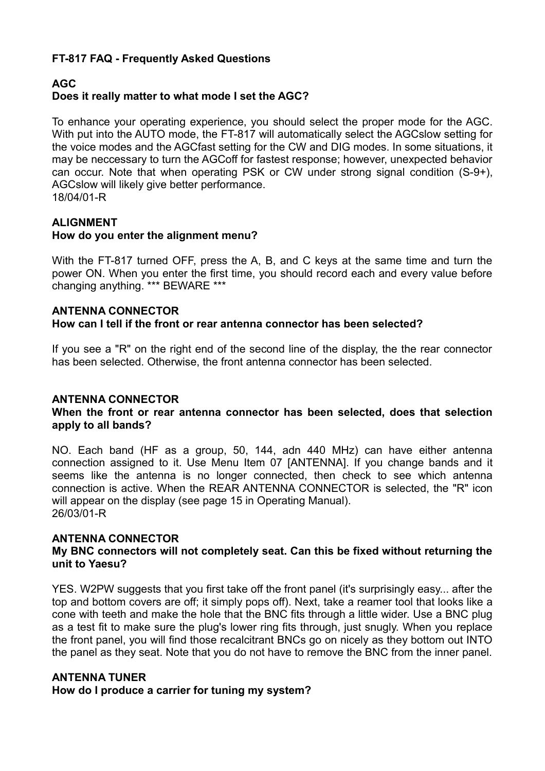# **FT-817 FAQ - Frequently Asked Questions**

# **AGC**

# **Does it really matter to what mode I set the AGC?**

To enhance your operating experience, you should select the proper mode for the AGC. With put into the AUTO mode, the FT-817 will automatically select the AGCslow setting for the voice modes and the AGCfast setting for the CW and DIG modes. In some situations, it may be neccessary to turn the AGCoff for fastest response; however, unexpected behavior can occur. Note that when operating PSK or CW under strong signal condition (S-9+), AGCslow will likely give better performance. 18/04/01-R

# **ALIGNMENT How do you enter the alignment menu?**

With the FT-817 turned OFF, press the A, B, and C keys at the same time and turn the power ON. When you enter the first time, you should record each and every value before changing anything. \*\*\* BEWARE \*\*\*

# **ANTENNA CONNECTOR How can I tell if the front or rear antenna connector has been selected?**

If you see a "R" on the right end of the second line of the display, the the rear connector has been selected. Otherwise, the front antenna connector has been selected.

## **ANTENNA CONNECTOR**

# **When the front or rear antenna connector has been selected, does that selection apply to all bands?**

NO. Each band (HF as a group, 50, 144, adn 440 MHz) can have either antenna connection assigned to it. Use Menu Item 07 [ANTENNA]. If you change bands and it seems like the antenna is no longer connected, then check to see which antenna connection is active. When the REAR ANTENNA CONNECTOR is selected, the "R" icon will appear on the display (see page 15 in Operating Manual). 26/03/01-R

## **ANTENNA CONNECTOR**

# **My BNC connectors will not completely seat. Can this be fixed without returning the unit to Yaesu?**

YES. W2PW suggests that you first take off the front panel (it's surprisingly easy... after the top and bottom covers are off; it simply pops off). Next, take a reamer tool that looks like a cone with teeth and make the hole that the BNC fits through a little wider. Use a BNC plug as a test fit to make sure the plug's lower ring fits through, just snugly. When you replace the front panel, you will find those recalcitrant BNCs go on nicely as they bottom out INTO the panel as they seat. Note that you do not have to remove the BNC from the inner panel.

## **ANTENNA TUNER**

**How do I produce a carrier for tuning my system?**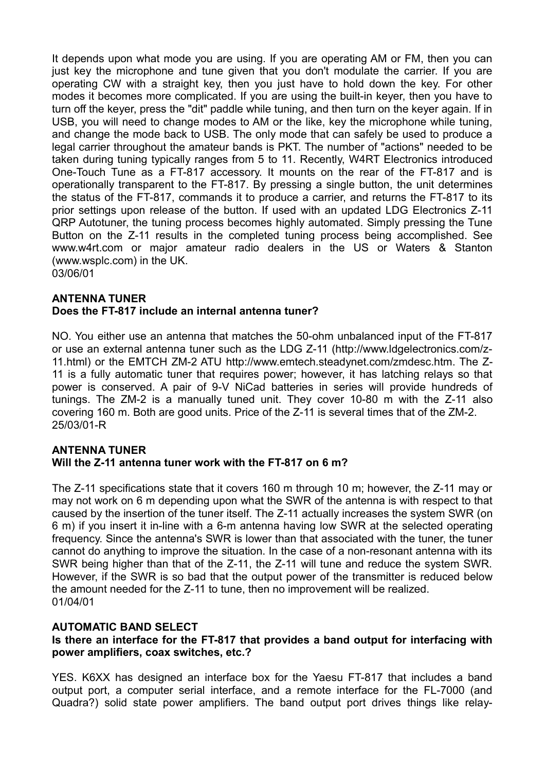It depends upon what mode you are using. If you are operating AM or FM, then you can just key the microphone and tune given that you don't modulate the carrier. If you are operating CW with a straight key, then you just have to hold down the key. For other modes it becomes more complicated. If you are using the built-in keyer, then you have to turn off the keyer, press the "dit" paddle while tuning, and then turn on the keyer again. If in USB, you will need to change modes to AM or the like, key the microphone while tuning, and change the mode back to USB. The only mode that can safely be used to produce a legal carrier throughout the amateur bands is PKT. The number of "actions" needed to be taken during tuning typically ranges from 5 to 11. Recently, W4RT Electronics introduced One-Touch Tune as a FT-817 accessory. It mounts on the rear of the FT-817 and is operationally transparent to the FT-817. By pressing a single button, the unit determines the status of the FT-817, commands it to produce a carrier, and returns the FT-817 to its prior settings upon release of the button. If used with an updated LDG Electronics Z-11 QRP Autotuner, the tuning process becomes highly automated. Simply pressing the Tune Button on the Z-11 results in the completed tuning process being accomplished. See www.w4rt.com or major amateur radio dealers in the US or Waters & Stanton (www.wsplc.com) in the UK. 03/06/01

## **ANTENNA TUNER**

#### **Does the FT-817 include an internal antenna tuner?**

NO. You either use an antenna that matches the 50-ohm unbalanced input of the FT-817 or use an external antenna tuner such as the LDG Z-11 (http://www.ldgelectronics.com/z-11.html) or the EMTCH ZM-2 ATU http://www.emtech.steadynet.com/zmdesc.htm. The Z-11 is a fully automatic tuner that requires power; however, it has latching relays so that power is conserved. A pair of 9-V NiCad batteries in series will provide hundreds of tunings. The ZM-2 is a manually tuned unit. They cover 10-80 m with the Z-11 also covering 160 m. Both are good units. Price of the Z-11 is several times that of the ZM-2. 25/03/01-R

#### **ANTENNA TUNER Will the Z-11 antenna tuner work with the FT-817 on 6 m?**

The Z-11 specifications state that it covers 160 m through 10 m; however, the Z-11 may or may not work on 6 m depending upon what the SWR of the antenna is with respect to that caused by the insertion of the tuner itself. The Z-11 actually increases the system SWR (on 6 m) if you insert it in-line with a 6-m antenna having low SWR at the selected operating frequency. Since the antenna's SWR is lower than that associated with the tuner, the tuner cannot do anything to improve the situation. In the case of a non-resonant antenna with its SWR being higher than that of the Z-11, the Z-11 will tune and reduce the system SWR. However, if the SWR is so bad that the output power of the transmitter is reduced below the amount needed for the Z-11 to tune, then no improvement will be realized. 01/04/01

#### **AUTOMATIC BAND SELECT**

## **Is there an interface for the FT-817 that provides a band output for interfacing with power amplifiers, coax switches, etc.?**

YES. K6XX has designed an interface box for the Yaesu FT-817 that includes a band output port, a computer serial interface, and a remote interface for the FL-7000 (and Quadra?) solid state power amplifiers. The band output port drives things like relay-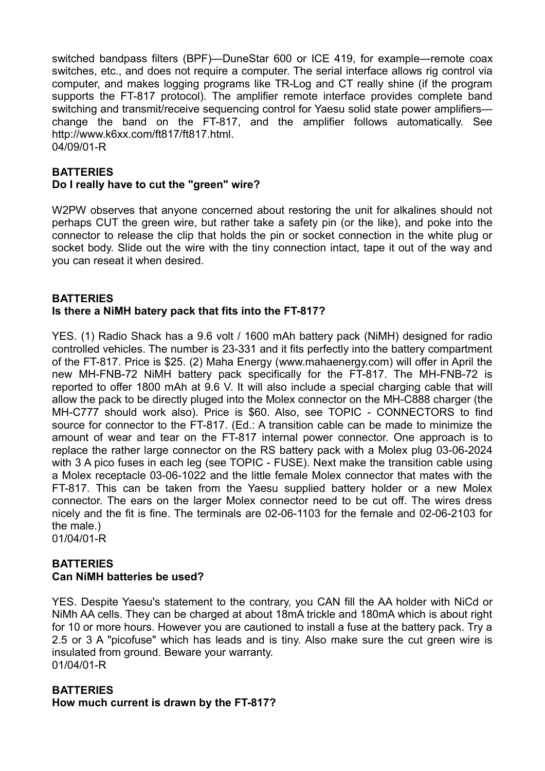switched bandpass filters (BPF)—DuneStar 600 or ICE 419, for example—remote coax switches, etc., and does not require a computer. The serial interface allows rig control via computer, and makes logging programs like TR-Log and CT really shine (if the program supports the FT-817 protocol). The amplifier remote interface provides complete band switching and transmit/receive sequencing control for Yaesu solid state power amplifierschange the band on the FT-817, and the amplifier follows automatically. See http://www.k6xx.com/ft817/ft817.html. 04/09/01-R

#### **BATTERIES**

#### **Do I really have to cut the "green" wire?**

W2PW observes that anyone concerned about restoring the unit for alkalines should not perhaps CUT the green wire, but rather take a safety pin (or the like), and poke into the connector to release the clip that holds the pin or socket connection in the white plug or socket body. Slide out the wire with the tiny connection intact, tape it out of the way and you can reseat it when desired.

#### **BATTERIES**

## **Is there a NiMH batery pack that fits into the FT-817?**

YES. (1) Radio Shack has a 9.6 volt / 1600 mAh battery pack (NiMH) designed for radio controlled vehicles. The number is 23-331 and it fits perfectly into the battery compartment of the FT-817. Price is \$25. (2) Maha Energy (www.mahaenergy.com) will offer in April the new MH-FNB-72 NiMH battery pack specifically for the FT-817. The MH-FNB-72 is reported to offer 1800 mAh at 9.6 V. It will also include a special charging cable that will allow the pack to be directly pluged into the Molex connector on the MH-C888 charger (the MH-C777 should work also). Price is \$60. Also, see TOPIC - CONNECTORS to find source for connector to the FT-817. (Ed.: A transition cable can be made to minimize the amount of wear and tear on the FT-817 internal power connector. One approach is to replace the rather large connector on the RS battery pack with a Molex plug 03-06-2024 with 3 A pico fuses in each leg (see TOPIC - FUSE). Next make the transition cable using a Molex receptacle 03-06-1022 and the little female Molex connector that mates with the FT-817. This can be taken from the Yaesu supplied battery holder or a new Molex connector. The ears on the larger Molex connector need to be cut off. The wires dress nicely and the fit is fine. The terminals are 02-06-1103 for the female and 02-06-2103 for the male.) 01/04/01-R

#### **BATTERIES Can NiMH batteries be used?**

YES. Despite Yaesu's statement to the contrary, you CAN fill the AA holder with NiCd or NiMh AA cells. They can be charged at about 18mA trickle and 180mA which is about right for 10 or more hours. However you are cautioned to install a fuse at the battery pack. Try a 2.5 or 3 A "picofuse" which has leads and is tiny. Also make sure the cut green wire is insulated from ground. Beware your warranty. 01/04/01-R

#### **BATTERIES**

**How much current is drawn by the FT-817?**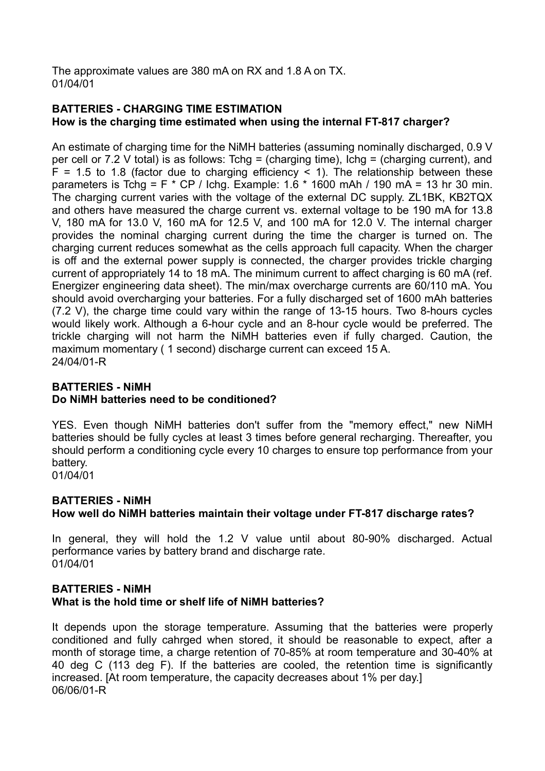The approximate values are 380 mA on RX and 1.8 A on TX. 01/04/01

# **BATTERIES - CHARGING TIME ESTIMATION How is the charging time estimated when using the internal FT-817 charger?**

An estimate of charging time for the NiMH batteries (assuming nominally discharged, 0.9 V per cell or 7.2 V total) is as follows: Tchg = (charging time), Ichg = (charging current), and  $F = 1.5$  to 1.8 (factor due to charging efficiency  $\lt 1$ ). The relationship between these parameters is Tchg = F  $*$  CP / Ichg. Example: 1.6  $*$  1600 mAh / 190 mA = 13 hr 30 min. The charging current varies with the voltage of the external DC supply. ZL1BK, KB2TQX and others have measured the charge current vs. external voltage to be 190 mA for 13.8 V, 180 mA for 13.0 V, 160 mA for 12.5 V, and 100 mA for 12.0 V. The internal charger provides the nominal charging current during the time the charger is turned on. The charging current reduces somewhat as the cells approach full capacity. When the charger is off and the external power supply is connected, the charger provides trickle charging current of appropriately 14 to 18 mA. The minimum current to affect charging is 60 mA (ref. Energizer engineering data sheet). The min/max overcharge currents are 60/110 mA. You should avoid overcharging your batteries. For a fully discharged set of 1600 mAh batteries (7.2 V), the charge time could vary within the range of 13-15 hours. Two 8-hours cycles would likely work. Although a 6-hour cycle and an 8-hour cycle would be preferred. The trickle charging will not harm the NiMH batteries even if fully charged. Caution, the maximum momentary ( 1 second) discharge current can exceed 15 A. 24/04/01-R

#### **BATTERIES - NiMH Do NiMH batteries need to be conditioned?**

YES. Even though NiMH batteries don't suffer from the "memory effect," new NiMH batteries should be fully cycles at least 3 times before general recharging. Thereafter, you should perform a conditioning cycle every 10 charges to ensure top performance from your battery.

01/04/01

# **BATTERIES - NiMH**

**How well do NiMH batteries maintain their voltage under FT-817 discharge rates?** 

In general, they will hold the 1.2 V value until about 80-90% discharged. Actual performance varies by battery brand and discharge rate. 01/04/01

## **BATTERIES - NiMH What is the hold time or shelf life of NiMH batteries?**

It depends upon the storage temperature. Assuming that the batteries were properly conditioned and fully cahrged when stored, it should be reasonable to expect, after a month of storage time, a charge retention of 70-85% at room temperature and 30-40% at 40 deg C (113 deg F). If the batteries are cooled, the retention time is significantly increased. [At room temperature, the capacity decreases about 1% per day.] 06/06/01-R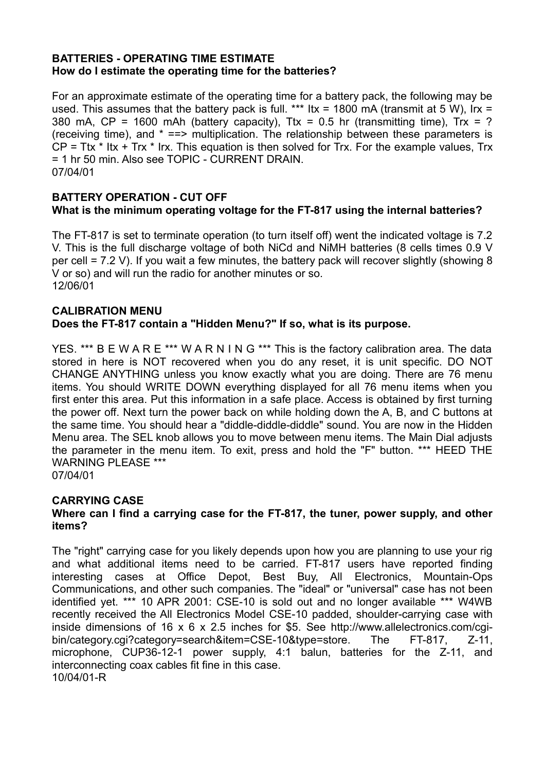#### **BATTERIES - OPERATING TIME ESTIMATE How do I estimate the operating time for the batteries?**

For an approximate estimate of the operating time for a battery pack, the following may be used. This assumes that the battery pack is full. \*\*\* Itx = 1800 mA (transmit at 5 W), Irx = 380 mA,  $CP = 1600$  mAh (battery capacity), Ttx = 0.5 hr (transmitting time), Trx = ? (receiving time), and \* ==> multiplication. The relationship between these parameters is  $CP = Ttx * Itx + Tx * Irx$ . This equation is then solved for Trx. For the example values, Trx = 1 hr 50 min. Also see TOPIC - CURRENT DRAIN. 07/04/01

## **BATTERY OPERATION - CUT OFF What is the minimum operating voltage for the FT-817 using the internal batteries?**

The FT-817 is set to terminate operation (to turn itself off) went the indicated voltage is 7.2 V. This is the full discharge voltage of both NiCd and NiMH batteries (8 cells times 0.9 V per cell = 7.2 V). If you wait a few minutes, the battery pack will recover slightly (showing 8 V or so) and will run the radio for another minutes or so. 12/06/01

#### **CALIBRATION MENU Does the FT-817 contain a "Hidden Menu?" If so, what is its purpose.**

YES. \*\*\* B E W A R E \*\*\* W A R N I N G \*\*\* This is the factory calibration area. The data stored in here is NOT recovered when you do any reset, it is unit specific. DO NOT CHANGE ANYTHING unless you know exactly what you are doing. There are 76 menu items. You should WRITE DOWN everything displayed for all 76 menu items when you first enter this area. Put this information in a safe place. Access is obtained by first turning the power off. Next turn the power back on while holding down the A, B, and C buttons at the same time. You should hear a "diddle-diddle-diddle" sound. You are now in the Hidden Menu area. The SEL knob allows you to move between menu items. The Main Dial adjusts the parameter in the menu item. To exit, press and hold the "F" button. \*\*\* HEED THE WARNING PLEASE \*\*\*

07/04/01

# **CARRYING CASE**

# **Where can I find a carrying case for the FT-817, the tuner, power supply, and other items?**

The "right" carrying case for you likely depends upon how you are planning to use your rig and what additional items need to be carried. FT-817 users have reported finding interesting cases at Office Depot, Best Buy, All Electronics, Mountain-Ops Communications, and other such companies. The "ideal" or "universal" case has not been identified yet. \*\*\* 10 APR 2001: CSE-10 is sold out and no longer available \*\*\* W4WB recently received the All Electronics Model CSE-10 padded, shoulder-carrying case with inside dimensions of 16 x 6 x 2.5 inches for \$5. See http://www.allelectronics.com/cgibin/category.cgi?category=search&item=CSE-10&type=store. The FT-817, Z-11, microphone, CUP36-12-1 power supply, 4:1 balun, batteries for the Z-11, and interconnecting coax cables fit fine in this case. 10/04/01-R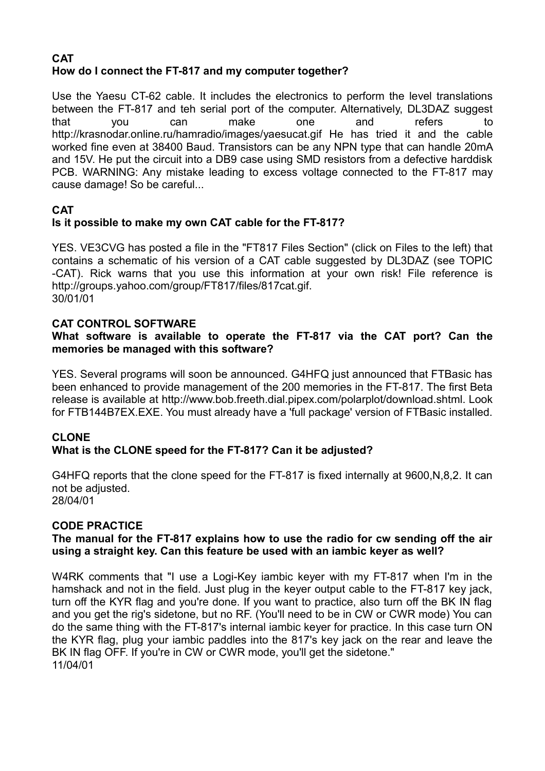# **CAT How do I connect the FT-817 and my computer together?**

Use the Yaesu CT-62 cable. It includes the electronics to perform the level translations between the FT-817 and teh serial port of the computer. Alternatively, DL3DAZ suggest that you can make one and refers to http://krasnodar.online.ru/hamradio/images/yaesucat.gif He has tried it and the cable worked fine even at 38400 Baud. Transistors can be any NPN type that can handle 20mA and 15V. He put the circuit into a DB9 case using SMD resistors from a defective harddisk PCB. WARNING: Any mistake leading to excess voltage connected to the FT-817 may cause damage! So be careful...

# **CAT**

# **Is it possible to make my own CAT cable for the FT-817?**

YES. VE3CVG has posted a file in the "FT817 Files Section" (click on Files to the left) that contains a schematic of his version of a CAT cable suggested by DL3DAZ (see TOPIC -CAT). Rick warns that you use this information at your own risk! File reference is http://groups.yahoo.com/group/FT817/files/817cat.gif. 30/01/01

# **CAT CONTROL SOFTWARE**

# **What software is available to operate the FT-817 via the CAT port? Can the memories be managed with this software?**

YES. Several programs will soon be announced. G4HFQ just announced that FTBasic has been enhanced to provide management of the 200 memories in the FT-817. The first Beta release is available at http://www.bob.freeth.dial.pipex.com/polarplot/download.shtml. Look for FTB144B7EX.EXE. You must already have a 'full package' version of FTBasic installed.

## **CLONE What is the CLONE speed for the FT-817? Can it be adjusted?**

G4HFQ reports that the clone speed for the FT-817 is fixed internally at 9600,N,8,2. It can not be adjusted. 28/04/01

# **CODE PRACTICE**

# **The manual for the FT-817 explains how to use the radio for cw sending off the air using a straight key. Can this feature be used with an iambic keyer as well?**

W4RK comments that "I use a Logi-Key iambic keyer with my FT-817 when I'm in the hamshack and not in the field. Just plug in the keyer output cable to the FT-817 key jack, turn off the KYR flag and you're done. If you want to practice, also turn off the BK IN flag and you get the rig's sidetone, but no RF. (You'll need to be in CW or CWR mode) You can do the same thing with the FT-817's internal iambic keyer for practice. In this case turn ON the KYR flag, plug your iambic paddles into the 817's key jack on the rear and leave the BK IN flag OFF. If you're in CW or CWR mode, you'll get the sidetone." 11/04/01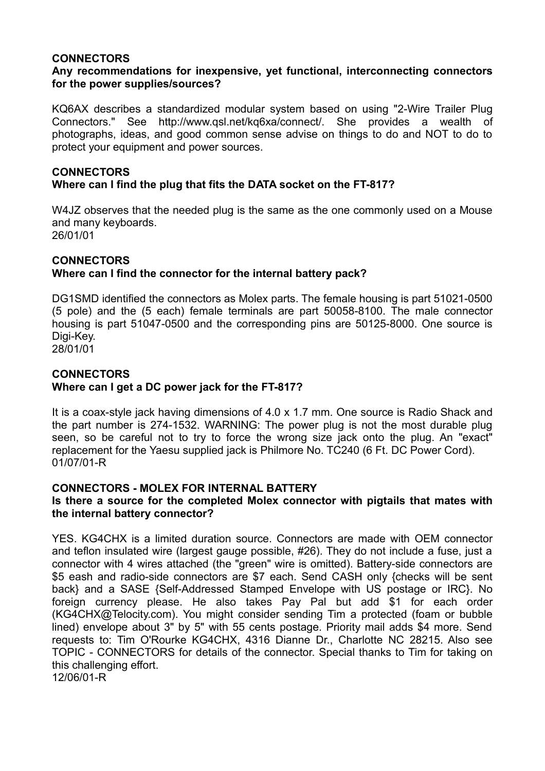#### **CONNECTORS**

## **Any recommendations for inexpensive, yet functional, interconnecting connectors for the power supplies/sources?**

KQ6AX describes a standardized modular system based on using "2-Wire Trailer Plug Connectors." See http://www.qsl.net/kq6xa/connect/. She provides a wealth of photographs, ideas, and good common sense advise on things to do and NOT to do to protect your equipment and power sources.

# **CONNECTORS Where can I find the plug that fits the DATA socket on the FT-817?**

W4JZ observes that the needed plug is the same as the one commonly used on a Mouse and many keyboards. 26/01/01

## **CONNECTORS**

## **Where can I find the connector for the internal battery pack?**

DG1SMD identified the connectors as Molex parts. The female housing is part 51021-0500 (5 pole) and the (5 each) female terminals are part 50058-8100. The male connector housing is part 51047-0500 and the corresponding pins are 50125-8000. One source is Digi-Key.

28/01/01

## **CONNECTORS Where can I get a DC power jack for the FT-817?**

It is a coax-style jack having dimensions of 4.0 x 1.7 mm. One source is Radio Shack and the part number is 274-1532. WARNING: The power plug is not the most durable plug seen, so be careful not to try to force the wrong size jack onto the plug. An "exact" replacement for the Yaesu supplied jack is Philmore No. TC240 (6 Ft. DC Power Cord). 01/07/01-R

## **CONNECTORS - MOLEX FOR INTERNAL BATTERY**

#### **Is there a source for the completed Molex connector with pigtails that mates with the internal battery connector?**

YES. KG4CHX is a limited duration source. Connectors are made with OEM connector and teflon insulated wire (largest gauge possible, #26). They do not include a fuse, just a connector with 4 wires attached (the "green" wire is omitted). Battery-side connectors are \$5 eash and radio-side connectors are \$7 each. Send CASH only {checks will be sent back} and a SASE {Self-Addressed Stamped Envelope with US postage or IRC}. No foreign currency please. He also takes Pay Pal but add \$1 for each order (KG4CHX@Telocity.com). You might consider sending Tim a protected (foam or bubble lined) envelope about 3" by 5" with 55 cents postage. Priority mail adds \$4 more. Send requests to: Tim O'Rourke KG4CHX, 4316 Dianne Dr., Charlotte NC 28215. Also see TOPIC - CONNECTORS for details of the connector. Special thanks to Tim for taking on this challenging effort.

12/06/01-R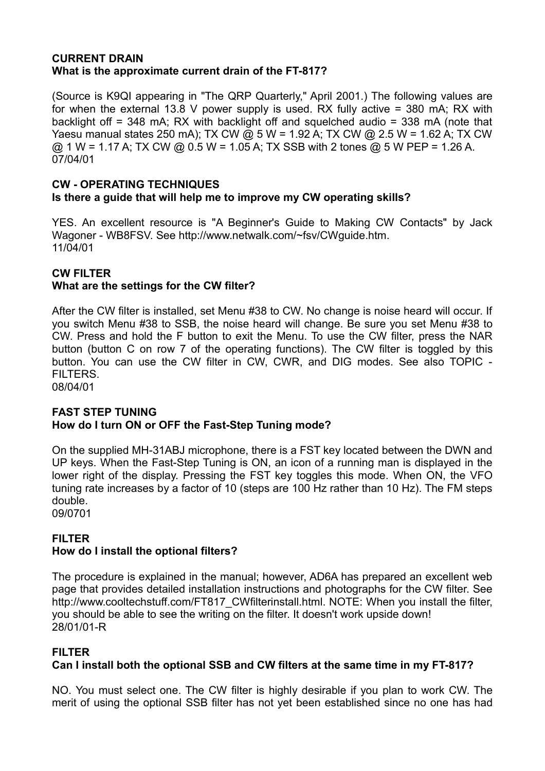#### **CURRENT DRAIN What is the approximate current drain of the FT-817?**

(Source is K9QI appearing in "The QRP Quarterly," April 2001.) The following values are for when the external 13.8 V power supply is used. RX fully active  $=$  380 mA; RX with backlight off = 348 mA; RX with backlight off and squelched audio = 338 mA (note that Yaesu manual states 250 mA); TX CW @ 5 W = 1.92 A; TX CW @ 2.5 W = 1.62 A; TX CW  $\omega$  1 W = 1.17 A; TX CW  $\omega$  0.5 W = 1.05 A; TX SSB with 2 tones  $\omega$  5 W PEP = 1.26 A. 07/04/01

## **CW - OPERATING TECHNIQUES Is there a guide that will help me to improve my CW operating skills?**

YES. An excellent resource is "A Beginner's Guide to Making CW Contacts" by Jack Wagoner - WB8FSV. See http://www.netwalk.com/~fsv/CWguide.htm. 11/04/01

# **CW FILTER**

# **What are the settings for the CW filter?**

After the CW filter is installed, set Menu #38 to CW. No change is noise heard will occur. If you switch Menu #38 to SSB, the noise heard will change. Be sure you set Menu #38 to CW. Press and hold the F button to exit the Menu. To use the CW filter, press the NAR button (button C on row 7 of the operating functions). The CW filter is toggled by this button. You can use the CW filter in CW, CWR, and DIG modes. See also TOPIC - FILTERS.

08/04/01

# **FAST STEP TUNING How do I turn ON or OFF the Fast-Step Tuning mode?**

On the supplied MH-31ABJ microphone, there is a FST key located between the DWN and UP keys. When the Fast-Step Tuning is ON, an icon of a running man is displayed in the lower right of the display. Pressing the FST key toggles this mode. When ON, the VFO tuning rate increases by a factor of 10 (steps are 100 Hz rather than 10 Hz). The FM steps double.

09/0701

# **FILTER**

# **How do I install the optional filters?**

The procedure is explained in the manual; however, AD6A has prepared an excellent web page that provides detailed installation instructions and photographs for the CW filter. See http://www.cooltechstuff.com/FT817\_CWfilterinstall.html. NOTE: When you install the filter, you should be able to see the writing on the filter. It doesn't work upside down! 28/01/01-R

# **FILTER**

# **Can I install both the optional SSB and CW filters at the same time in my FT-817?**

NO. You must select one. The CW filter is highly desirable if you plan to work CW. The merit of using the optional SSB filter has not yet been established since no one has had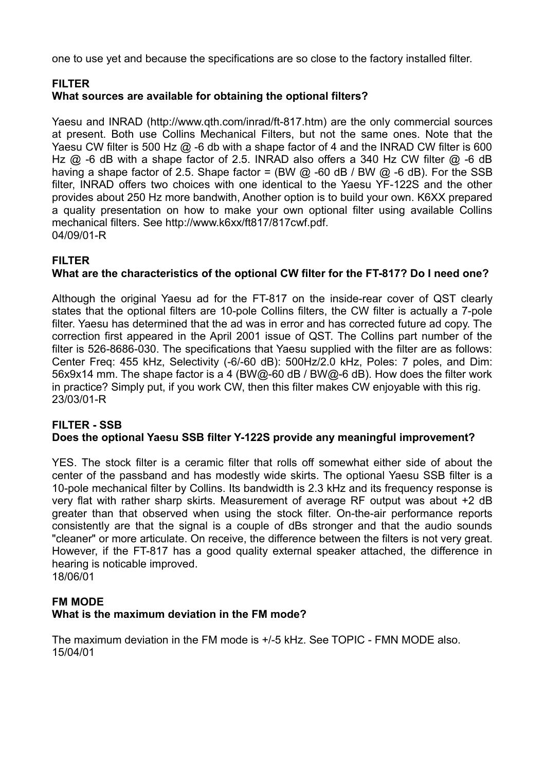one to use yet and because the specifications are so close to the factory installed filter.

# **FILTER**

# **What sources are available for obtaining the optional filters?**

Yaesu and INRAD (http://www.qth.com/inrad/ft-817.htm) are the only commercial sources at present. Both use Collins Mechanical Filters, but not the same ones. Note that the Yaesu CW filter is 500 Hz @ -6 db with a shape factor of 4 and the INRAD CW filter is 600 Hz  $\omega$  -6 dB with a shape factor of 2.5. INRAD also offers a 340 Hz CW filter  $\omega$  -6 dB having a shape factor of 2.5. Shape factor = (BW  $\omega$  -60 dB / BW  $\omega$  -6 dB). For the SSB filter, INRAD offers two choices with one identical to the Yaesu YF-122S and the other provides about 250 Hz more bandwith, Another option is to build your own. K6XX prepared a quality presentation on how to make your own optional filter using available Collins mechanical filters. See http://www.k6xx/ft817/817cwf.pdf. 04/09/01-R

# **FILTER**

# **What are the characteristics of the optional CW filter for the FT-817? Do I need one?**

Although the original Yaesu ad for the FT-817 on the inside-rear cover of QST clearly states that the optional filters are 10-pole Collins filters, the CW filter is actually a 7-pole filter. Yaesu has determined that the ad was in error and has corrected future ad copy. The correction first appeared in the April 2001 issue of QST. The Collins part number of the filter is 526-8686-030. The specifications that Yaesu supplied with the filter are as follows: Center Freq: 455 kHz, Selectivity (-6/-60 dB): 500Hz/2.0 kHz, Poles: 7 poles, and Dim: 56x9x14 mm. The shape factor is a 4 (BW@-60 dB / BW@-6 dB). How does the filter work in practice? Simply put, if you work CW, then this filter makes CW enjoyable with this rig. 23/03/01-R

## **FILTER - SSB Does the optional Yaesu SSB filter Y-122S provide any meaningful improvement?**

YES. The stock filter is a ceramic filter that rolls off somewhat either side of about the center of the passband and has modestly wide skirts. The optional Yaesu SSB filter is a 10-pole mechanical filter by Collins. Its bandwidth is 2.3 kHz and its frequency response is very flat with rather sharp skirts. Measurement of average RF output was about +2 dB greater than that observed when using the stock filter. On-the-air performance reports consistently are that the signal is a couple of dBs stronger and that the audio sounds "cleaner" or more articulate. On receive, the difference between the filters is not very great. However, if the FT-817 has a good quality external speaker attached, the difference in hearing is noticable improved. 18/06/01

# **FM MODE What is the maximum deviation in the FM mode?**

The maximum deviation in the FM mode is +/-5 kHz. See TOPIC - FMN MODE also. 15/04/01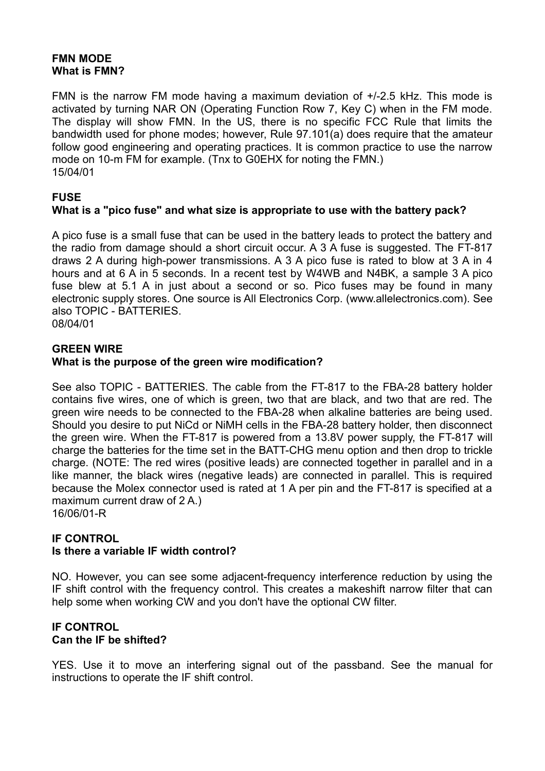# **FMN MODE What is FMN?**

FMN is the narrow FM mode having a maximum deviation of +/-2.5 kHz. This mode is activated by turning NAR ON (Operating Function Row 7, Key C) when in the FM mode. The display will show FMN. In the US, there is no specific FCC Rule that limits the bandwidth used for phone modes; however, Rule 97.101(a) does require that the amateur follow good engineering and operating practices. It is common practice to use the narrow mode on 10-m FM for example. (Tnx to G0EHX for noting the FMN.) 15/04/01

# **FUSE**

# **What is a "pico fuse" and what size is appropriate to use with the battery pack?**

A pico fuse is a small fuse that can be used in the battery leads to protect the battery and the radio from damage should a short circuit occur. A 3 A fuse is suggested. The FT-817 draws 2 A during high-power transmissions. A 3 A pico fuse is rated to blow at 3 A in 4 hours and at 6 A in 5 seconds. In a recent test by W4WB and N4BK, a sample 3 A pico fuse blew at 5.1 A in just about a second or so. Pico fuses may be found in many electronic supply stores. One source is All Electronics Corp. (www.allelectronics.com). See also TOPIC - BATTERIES.

08/04/01

# **GREEN WIRE**

# **What is the purpose of the green wire modification?**

See also TOPIC - BATTERIES. The cable from the FT-817 to the FBA-28 battery holder contains five wires, one of which is green, two that are black, and two that are red. The green wire needs to be connected to the FBA-28 when alkaline batteries are being used. Should you desire to put NiCd or NiMH cells in the FBA-28 battery holder, then disconnect the green wire. When the FT-817 is powered from a 13.8V power supply, the FT-817 will charge the batteries for the time set in the BATT-CHG menu option and then drop to trickle charge. (NOTE: The red wires (positive leads) are connected together in parallel and in a like manner, the black wires (negative leads) are connected in parallel. This is required because the Molex connector used is rated at 1 A per pin and the FT-817 is specified at a maximum current draw of 2 A.) 16/06/01-R

#### **IF CONTROL**

## **Is there a variable IF width control?**

NO. However, you can see some adjacent-frequency interference reduction by using the IF shift control with the frequency control. This creates a makeshift narrow filter that can help some when working CW and you don't have the optional CW filter.

#### **IF CONTROL Can the IF be shifted?**

YES. Use it to move an interfering signal out of the passband. See the manual for instructions to operate the IF shift control.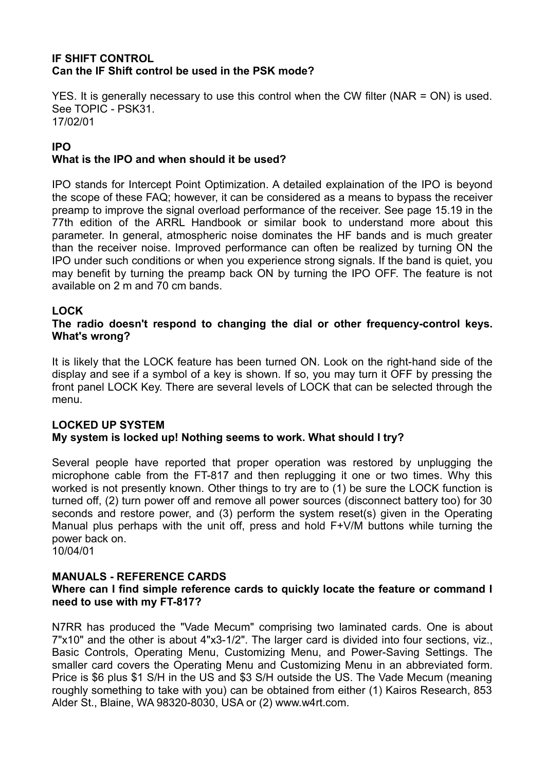## **IF SHIFT CONTROL Can the IF Shift control be used in the PSK mode?**

YES. It is generally necessary to use this control when the CW filter (NAR = ON) is used. See TOPIC - PSK31. 17/02/01

# **IPO**

# **What is the IPO and when should it be used?**

IPO stands for Intercept Point Optimization. A detailed explaination of the IPO is beyond the scope of these FAQ; however, it can be considered as a means to bypass the receiver preamp to improve the signal overload performance of the receiver. See page 15.19 in the 77th edition of the ARRL Handbook or similar book to understand more about this parameter. In general, atmospheric noise dominates the HF bands and is much greater than the receiver noise. Improved performance can often be realized by turning ON the IPO under such conditions or when you experience strong signals. If the band is quiet, you may benefit by turning the preamp back ON by turning the IPO OFF. The feature is not available on 2 m and 70 cm bands.

# **LOCK**

## **The radio doesn't respond to changing the dial or other frequency-control keys. What's wrong?**

It is likely that the LOCK feature has been turned ON. Look on the right-hand side of the display and see if a symbol of a key is shown. If so, you may turn it OFF by pressing the front panel LOCK Key. There are several levels of LOCK that can be selected through the menu.

# **LOCKED UP SYSTEM My system is locked up! Nothing seems to work. What should I try?**

Several people have reported that proper operation was restored by unplugging the microphone cable from the FT-817 and then replugging it one or two times. Why this worked is not presently known. Other things to try are to (1) be sure the LOCK function is turned off, (2) turn power off and remove all power sources (disconnect battery too) for 30 seconds and restore power, and (3) perform the system reset(s) given in the Operating Manual plus perhaps with the unit off, press and hold F+V/M buttons while turning the power back on.

10/04/01

# **MANUALS - REFERENCE CARDS**

## **Where can I find simple reference cards to quickly locate the feature or command I need to use with my FT-817?**

N7RR has produced the "Vade Mecum" comprising two laminated cards. One is about 7"x10" and the other is about 4"x3-1/2". The larger card is divided into four sections, viz., Basic Controls, Operating Menu, Customizing Menu, and Power-Saving Settings. The smaller card covers the Operating Menu and Customizing Menu in an abbreviated form. Price is \$6 plus \$1 S/H in the US and \$3 S/H outside the US. The Vade Mecum (meaning roughly something to take with you) can be obtained from either (1) Kairos Research, 853 Alder St., Blaine, WA 98320-8030, USA or (2) www.w4rt.com.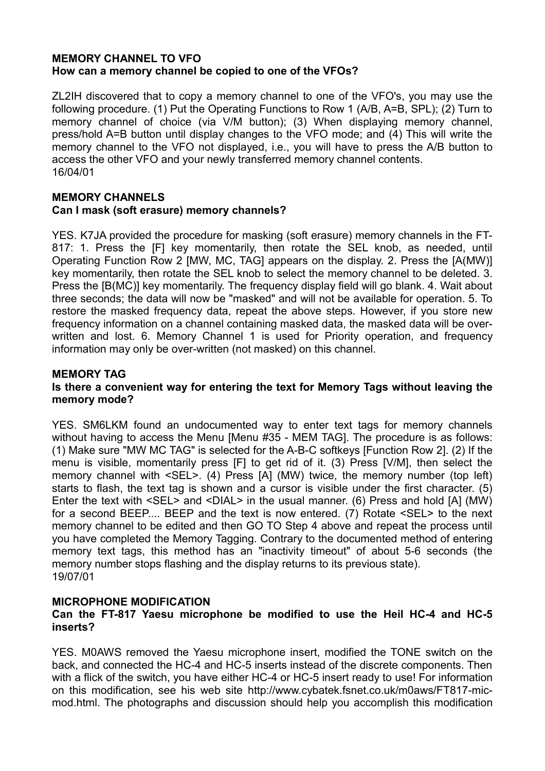#### **MEMORY CHANNEL TO VFO How can a memory channel be copied to one of the VFOs?**

ZL2IH discovered that to copy a memory channel to one of the VFO's, you may use the following procedure. (1) Put the Operating Functions to Row 1 (A/B, A=B, SPL); (2) Turn to memory channel of choice (via V/M button); (3) When displaying memory channel, press/hold A=B button until display changes to the VFO mode; and (4) This will write the memory channel to the VFO not displayed, i.e., you will have to press the A/B button to access the other VFO and your newly transferred memory channel contents. 16/04/01

#### **MEMORY CHANNELS Can I mask (soft erasure) memory channels?**

YES. K7JA provided the procedure for masking (soft erasure) memory channels in the FT-817: 1. Press the [F] key momentarily, then rotate the SEL knob, as needed, until Operating Function Row 2 [MW, MC, TAG] appears on the display. 2. Press the [A(MW)] key momentarily, then rotate the SEL knob to select the memory channel to be deleted. 3. Press the [B(MC)] key momentarily. The frequency display field will go blank. 4. Wait about three seconds; the data will now be "masked" and will not be available for operation. 5. To restore the masked frequency data, repeat the above steps. However, if you store new frequency information on a channel containing masked data, the masked data will be overwritten and lost. 6. Memory Channel 1 is used for Priority operation, and frequency information may only be over-written (not masked) on this channel.

## **MEMORY TAG**

# **Is there a convenient way for entering the text for Memory Tags without leaving the memory mode?**

YES. SM6LKM found an undocumented way to enter text tags for memory channels without having to access the Menu [Menu #35 - MEM TAG]. The procedure is as follows: (1) Make sure "MW MC TAG" is selected for the A-B-C softkeys [Function Row 2]. (2) If the menu is visible, momentarily press [F] to get rid of it. (3) Press [V/M], then select the memory channel with <SEL>. (4) Press [A] (MW) twice, the memory number (top left) starts to flash, the text tag is shown and a cursor is visible under the first character. (5) Enter the text with <SEL> and <DIAL> in the usual manner. (6) Press and hold [A] (MW) for a second BEEP.... BEEP and the text is now entered. (7) Rotate <SEL> to the next memory channel to be edited and then GO TO Step 4 above and repeat the process until you have completed the Memory Tagging. Contrary to the documented method of entering memory text tags, this method has an "inactivity timeout" of about 5-6 seconds (the memory number stops flashing and the display returns to its previous state). 19/07/01

## **MICROPHONE MODIFICATION**

## **Can the FT-817 Yaesu microphone be modified to use the Heil HC-4 and HC-5 inserts?**

YES. M0AWS removed the Yaesu microphone insert, modified the TONE switch on the back, and connected the HC-4 and HC-5 inserts instead of the discrete components. Then with a flick of the switch, you have either HC-4 or HC-5 insert ready to use! For information on this modification, see his web site http://www.cybatek.fsnet.co.uk/m0aws/FT817-micmod.html. The photographs and discussion should help you accomplish this modification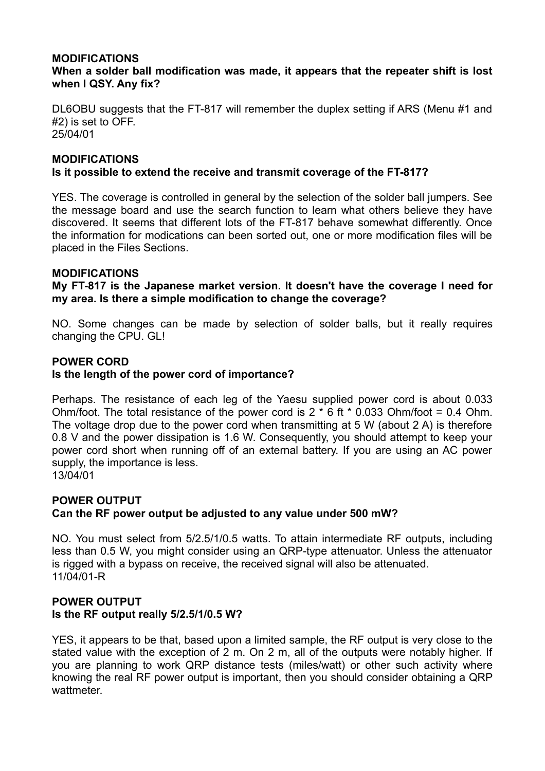# **MODIFICATIONS**

# **When a solder ball modification was made, it appears that the repeater shift is lost when I QSY. Any fix?**

DL6OBU suggests that the FT-817 will remember the duplex setting if ARS (Menu #1 and #2) is set to OFF. 25/04/01

# **MODIFICATIONS**

# **Is it possible to extend the receive and transmit coverage of the FT-817?**

YES. The coverage is controlled in general by the selection of the solder ball jumpers. See the message board and use the search function to learn what others believe they have discovered. It seems that different lots of the FT-817 behave somewhat differently. Once the information for modications can been sorted out, one or more modification files will be placed in the Files Sections.

#### **MODIFICATIONS**

#### **My FT-817 is the Japanese market version. It doesn't have the coverage I need for my area. Is there a simple modification to change the coverage?**

NO. Some changes can be made by selection of solder balls, but it really requires changing the CPU. GL!

#### **POWER CORD**

#### **Is the length of the power cord of importance?**

Perhaps. The resistance of each leg of the Yaesu supplied power cord is about 0.033 Ohm/foot. The total resistance of the power cord is  $2 * 6$  ft  $* 0.033$  Ohm/foot = 0.4 Ohm. The voltage drop due to the power cord when transmitting at 5 W (about 2 A) is therefore 0.8 V and the power dissipation is 1.6 W. Consequently, you should attempt to keep your power cord short when running off of an external battery. If you are using an AC power supply, the importance is less.

13/04/01

# **POWER OUTPUT Can the RF power output be adjusted to any value under 500 mW?**

NO. You must select from 5/2.5/1/0.5 watts. To attain intermediate RF outputs, including less than 0.5 W, you might consider using an QRP-type attenuator. Unless the attenuator is rigged with a bypass on receive, the received signal will also be attenuated. 11/04/01-R

## **POWER OUTPUT Is the RF output really 5/2.5/1/0.5 W?**

YES, it appears to be that, based upon a limited sample, the RF output is very close to the stated value with the exception of 2 m. On 2 m, all of the outputs were notably higher. If you are planning to work QRP distance tests (miles/watt) or other such activity where knowing the real RF power output is important, then you should consider obtaining a QRP wattmeter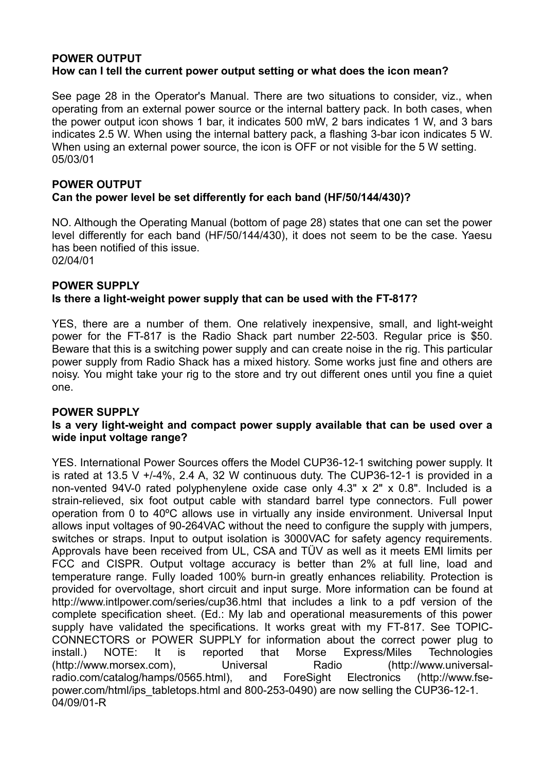#### **POWER OUTPUT How can I tell the current power output setting or what does the icon mean?**

See page 28 in the Operator's Manual. There are two situations to consider, viz., when operating from an external power source or the internal battery pack. In both cases, when the power output icon shows 1 bar, it indicates 500 mW, 2 bars indicates 1 W, and 3 bars indicates 2.5 W. When using the internal battery pack, a flashing 3-bar icon indicates 5 W. When using an external power source, the icon is OFF or not visible for the 5 W setting. 05/03/01

#### **POWER OUTPUT Can the power level be set differently for each band (HF/50/144/430)?**

NO. Although the Operating Manual (bottom of page 28) states that one can set the power level differently for each band (HF/50/144/430), it does not seem to be the case. Yaesu has been notified of this issue. 02/04/01

# **POWER SUPPLY Is there a light-weight power supply that can be used with the FT-817?**

YES, there are a number of them. One relatively inexpensive, small, and light-weight power for the FT-817 is the Radio Shack part number 22-503. Regular price is \$50. Beware that this is a switching power supply and can create noise in the rig. This particular power supply from Radio Shack has a mixed history. Some works just fine and others are noisy. You might take your rig to the store and try out different ones until you fine a quiet one.

## **POWER SUPPLY**

# **Is a very light-weight and compact power supply available that can be used over a wide input voltage range?**

YES. International Power Sources offers the Model CUP36-12-1 switching power supply. It is rated at 13.5 V +/-4%, 2.4 A, 32 W continuous duty. The CUP36-12-1 is provided in a non-vented 94V-0 rated polyphenylene oxide case only 4.3" x 2" x 0.8". Included is a strain-relieved, six foot output cable with standard barrel type connectors. Full power operation from 0 to 40ºC allows use in virtually any inside environment. Universal Input allows input voltages of 90-264VAC without the need to configure the supply with jumpers, switches or straps. Input to output isolation is 3000VAC for safety agency requirements. Approvals have been received from UL, CSA and TÜV as well as it meets EMI limits per FCC and CISPR. Output voltage accuracy is better than 2% at full line, load and temperature range. Fully loaded 100% burn-in greatly enhances reliability. Protection is provided for overvoltage, short circuit and input surge. More information can be found at http://www.intlpower.com/series/cup36.html that includes a link to a pdf version of the complete specification sheet. (Ed.: My lab and operational measurements of this power supply have validated the specifications. It works great with my FT-817. See TOPIC-CONNECTORS or POWER SUPPLY for information about the correct power plug to install.) NOTE: It is reported that Morse Express/Miles Technologies (http://www.morsex.com), Universal Radio (http://www.universalradio.com/catalog/hamps/0565.html), and ForeSight Electronics (http://www.fsepower.com/html/ips\_tabletops.html and 800-253-0490) are now selling the CUP36-12-1. 04/09/01-R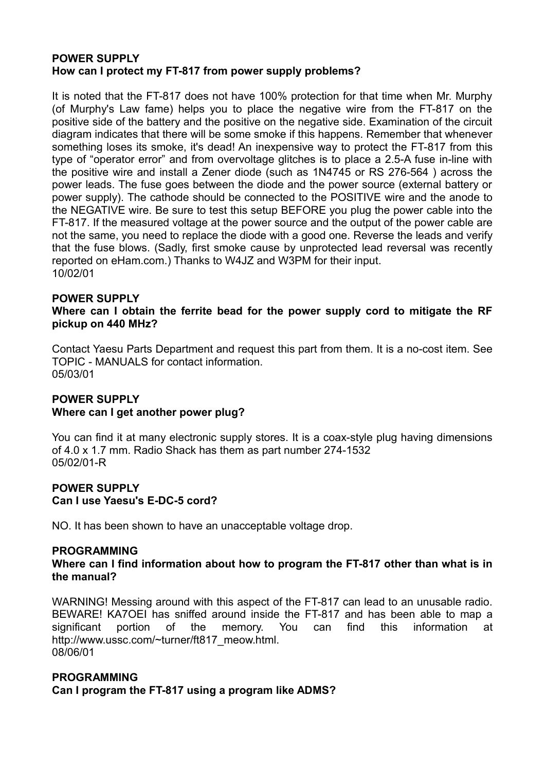## **POWER SUPPLY How can I protect my FT-817 from power supply problems?**

It is noted that the FT-817 does not have 100% protection for that time when Mr. Murphy (of Murphy's Law fame) helps you to place the negative wire from the FT-817 on the positive side of the battery and the positive on the negative side. Examination of the circuit diagram indicates that there will be some smoke if this happens. Remember that whenever something loses its smoke, it's dead! An inexpensive way to protect the FT-817 from this type of "operator error" and from overvoltage glitches is to place a 2.5-A fuse in-line with the positive wire and install a Zener diode (such as 1N4745 or RS 276-564 ) across the power leads. The fuse goes between the diode and the power source (external battery or power supply). The cathode should be connected to the POSITIVE wire and the anode to the NEGATIVE wire. Be sure to test this setup BEFORE you plug the power cable into the FT-817. If the measured voltage at the power source and the output of the power cable are not the same, you need to replace the diode with a good one. Reverse the leads and verify that the fuse blows. (Sadly, first smoke cause by unprotected lead reversal was recently reported on eHam.com.) Thanks to W4JZ and W3PM for their input. 10/02/01

# **POWER SUPPLY**

**Where can I obtain the ferrite bead for the power supply cord to mitigate the RF pickup on 440 MHz?** 

Contact Yaesu Parts Department and request this part from them. It is a no-cost item. See TOPIC - MANUALS for contact information. 05/03/01

# **POWER SUPPLY Where can I get another power plug?**

You can find it at many electronic supply stores. It is a coax-style plug having dimensions of 4.0 x 1.7 mm. Radio Shack has them as part number 274-1532 05/02/01-R

# **POWER SUPPLY Can I use Yaesu's E-DC-5 cord?**

NO. It has been shown to have an unacceptable voltage drop.

## **PROGRAMMING**

**Where can I find information about how to program the FT-817 other than what is in the manual?** 

WARNING! Messing around with this aspect of the FT-817 can lead to an unusable radio. BEWARE! KA7OEI has sniffed around inside the FT-817 and has been able to map a significant portion of the memory. You can find this information at http://www.ussc.com/~turner/ft817\_meow.html. 08/06/01

#### **PROGRAMMING Can I program the FT-817 using a program like ADMS?**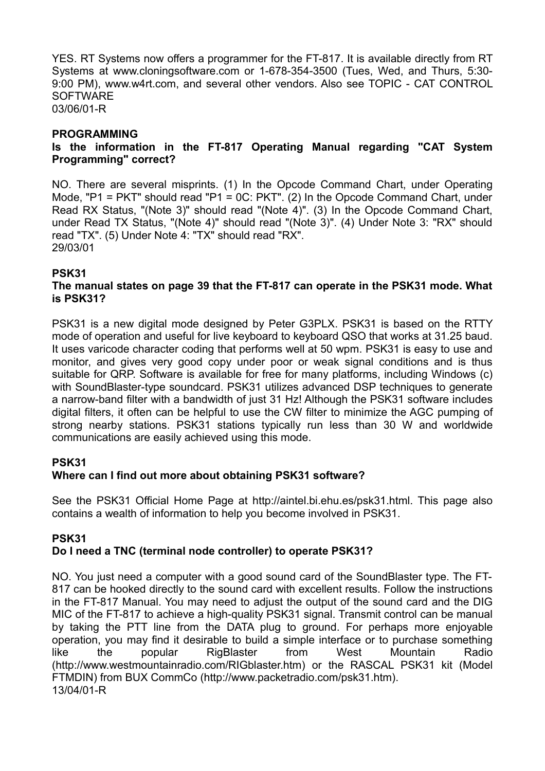YES. RT Systems now offers a programmer for the FT-817. It is available directly from RT Systems at www.cloningsoftware.com or 1-678-354-3500 (Tues, Wed, and Thurs, 5:30- 9:00 PM), www.w4rt.com, and several other vendors. Also see TOPIC - CAT CONTROL **SOFTWARE** 03/06/01-R

#### **PROGRAMMING**

# **Is the information in the FT-817 Operating Manual regarding "CAT System Programming" correct?**

NO. There are several misprints. (1) In the Opcode Command Chart, under Operating Mode, "P1 = PKT" should read "P1 = 0C: PKT". (2) In the Opcode Command Chart, under Read RX Status, "(Note 3)" should read "(Note 4)". (3) In the Opcode Command Chart, under Read TX Status, "(Note 4)" should read "(Note 3)". (4) Under Note 3: "RX" should read "TX". (5) Under Note 4: "TX" should read "RX". 29/03/01

## **PSK31**

#### **The manual states on page 39 that the FT-817 can operate in the PSK31 mode. What is PSK31?**

PSK31 is a new digital mode designed by Peter G3PLX. PSK31 is based on the RTTY mode of operation and useful for live keyboard to keyboard QSO that works at 31.25 baud. It uses varicode character coding that performs well at 50 wpm. PSK31 is easy to use and monitor, and gives very good copy under poor or weak signal conditions and is thus suitable for QRP. Software is available for free for many platforms, including Windows (c) with SoundBlaster-type soundcard. PSK31 utilizes advanced DSP techniques to generate a narrow-band filter with a bandwidth of just 31 Hz! Although the PSK31 software includes digital filters, it often can be helpful to use the CW filter to minimize the AGC pumping of strong nearby stations. PSK31 stations typically run less than 30 W and worldwide communications are easily achieved using this mode.

## **PSK31**

## **Where can I find out more about obtaining PSK31 software?**

See the PSK31 Official Home Page at http://aintel.bi.ehu.es/psk31.html. This page also contains a wealth of information to help you become involved in PSK31.

#### **PSK31**

## **Do I need a TNC (terminal node controller) to operate PSK31?**

NO. You just need a computer with a good sound card of the SoundBlaster type. The FT-817 can be hooked directly to the sound card with excellent results. Follow the instructions in the FT-817 Manual. You may need to adjust the output of the sound card and the DIG MIC of the FT-817 to achieve a high-quality PSK31 signal. Transmit control can be manual by taking the PTT line from the DATA plug to ground. For perhaps more enjoyable operation, you may find it desirable to build a simple interface or to purchase something like the popular RigBlaster from West Mountain Radio (http://www.westmountainradio.com/RIGblaster.htm) or the RASCAL PSK31 kit (Model FTMDIN) from BUX CommCo (http://www.packetradio.com/psk31.htm). 13/04/01-R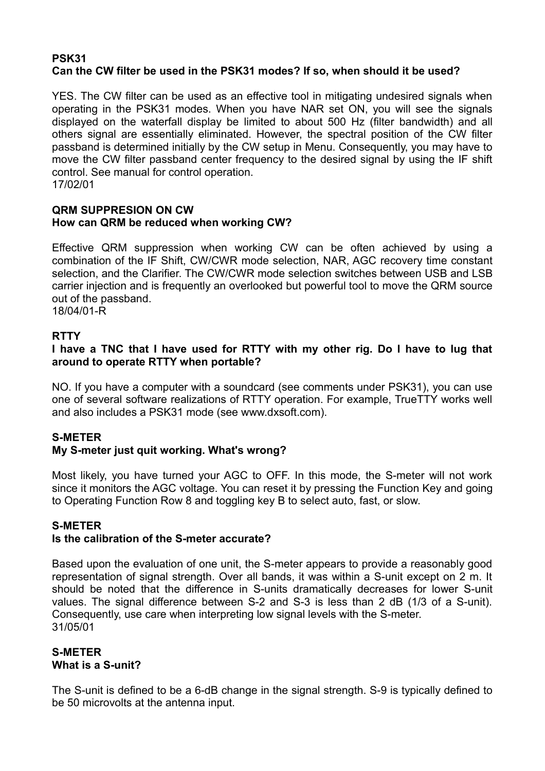## **PSK31 Can the CW filter be used in the PSK31 modes? If so, when should it be used?**

YES. The CW filter can be used as an effective tool in mitigating undesired signals when operating in the PSK31 modes. When you have NAR set ON, you will see the signals displayed on the waterfall display be limited to about 500 Hz (filter bandwidth) and all others signal are essentially eliminated. However, the spectral position of the CW filter passband is determined initially by the CW setup in Menu. Consequently, you may have to move the CW filter passband center frequency to the desired signal by using the IF shift control. See manual for control operation. 17/02/01

# **QRM SUPPRESION ON CW**

# **How can QRM be reduced when working CW?**

Effective QRM suppression when working CW can be often achieved by using a combination of the IF Shift, CW/CWR mode selection, NAR, AGC recovery time constant selection, and the Clarifier. The CW/CWR mode selection switches between USB and LSB carrier injection and is frequently an overlooked but powerful tool to move the QRM source out of the passband.

18/04/01-R

# **RTTY**

# **I have a TNC that I have used for RTTY with my other rig. Do I have to lug that around to operate RTTY when portable?**

NO. If you have a computer with a soundcard (see comments under PSK31), you can use one of several software realizations of RTTY operation. For example, TrueTTY works well and also includes a PSK31 mode (see www.dxsoft.com).

# **S-METER**

# **My S-meter just quit working. What's wrong?**

Most likely, you have turned your AGC to OFF. In this mode, the S-meter will not work since it monitors the AGC voltage. You can reset it by pressing the Function Key and going to Operating Function Row 8 and toggling key B to select auto, fast, or slow.

# **S-METER**

# **Is the calibration of the S-meter accurate?**

Based upon the evaluation of one unit, the S-meter appears to provide a reasonably good representation of signal strength. Over all bands, it was within a S-unit except on 2 m. It should be noted that the difference in S-units dramatically decreases for lower S-unit values. The signal difference between S-2 and S-3 is less than 2 dB (1/3 of a S-unit). Consequently, use care when interpreting low signal levels with the S-meter. 31/05/01

## **S-METER What is a S-unit?**

The S-unit is defined to be a 6-dB change in the signal strength. S-9 is typically defined to be 50 microvolts at the antenna input.